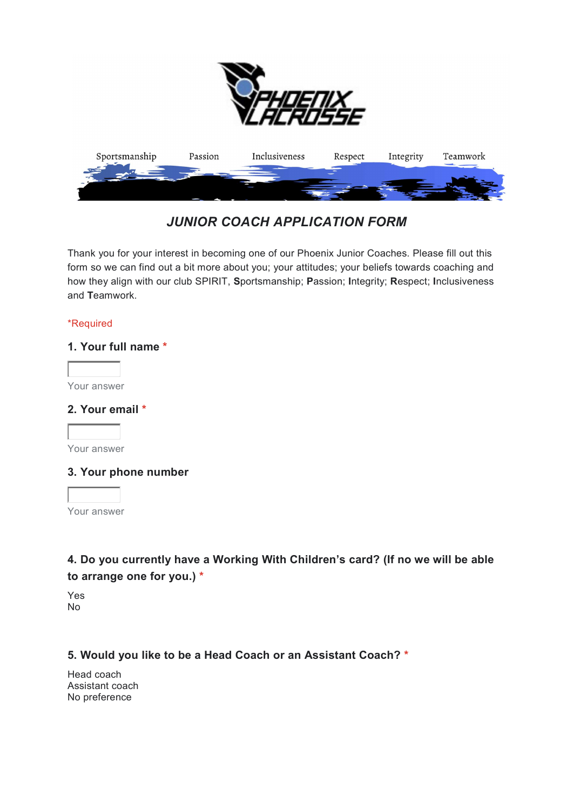

# JUNIOR COACH APPLICATION FORM

Thank you for your interest in becoming one of our Phoenix Junior Coaches. Please fill out this form so we can find out a bit more about you; your attitudes; your beliefs towards coaching and how they align with our club SPIRIT, Sportsmanship; Passion; Integrity; Respect; Inclusiveness and Teamwork.

#### \*Required

#### 1. Your full name \*

Your answer

#### 2. Your email \*

Your answer

#### 3. Your phone number

Your answer

### 4. Do you currently have a Working With Children's card? (If no we will be able to arrange one for you.) \*

Yes No

#### 5. Would you like to be a Head Coach or an Assistant Coach? \*

Head coach Assistant coach No preference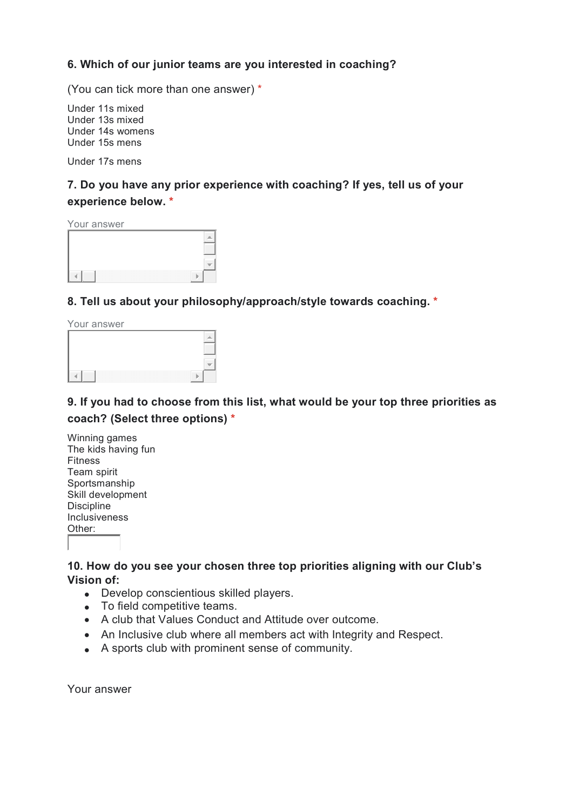#### 6. Which of our junior teams are you interested in coaching?

(You can tick more than one answer) \*

Under 11s mixed Under 13s mixed Under 14s womens Under 15s mens

Under 17s mens

### 7. Do you have any prior experience with coaching? If yes, tell us of your experience below. \*

Your answer

8. Tell us about your philosophy/approach/style towards coaching. \*

Your answer

### 9. If you had to choose from this list, what would be your top three priorities as coach? (Select three options) \*

#### 10. How do you see your chosen three top priorities aligning with our Club's Vision of:

- Develop conscientious skilled players.
- To field competitive teams.
- A club that Values Conduct and Attitude over outcome.
- An Inclusive club where all members act with Integrity and Respect.
- A sports club with prominent sense of community.

Your answer